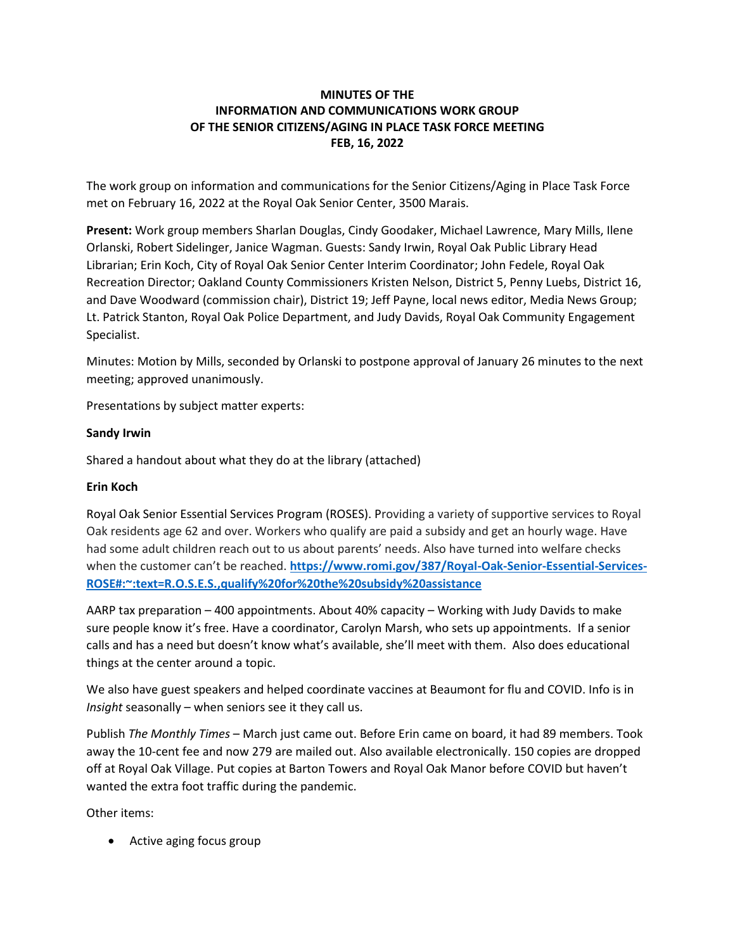# **MINUTES OF THE INFORMATION AND COMMUNICATIONS WORK GROUP OF THE SENIOR CITIZENS/AGING IN PLACE TASK FORCE MEETING FEB, 16, 2022**

The work group on information and communications for the Senior Citizens/Aging in Place Task Force met on February 16, 2022 at the Royal Oak Senior Center, 3500 Marais.

**Present:** Work group members Sharlan Douglas, Cindy Goodaker, Michael Lawrence, Mary Mills, Ilene Orlanski, Robert Sidelinger, Janice Wagman. Guests: Sandy Irwin, Royal Oak Public Library Head Librarian; Erin Koch, City of Royal Oak Senior Center Interim Coordinator; John Fedele, Royal Oak Recreation Director; Oakland County Commissioners Kristen Nelson, District 5, Penny Luebs, District 16, and Dave Woodward (commission chair), District 19; Jeff Payne, local news editor, Media News Group; Lt. Patrick Stanton, Royal Oak Police Department, and Judy Davids, Royal Oak Community Engagement Specialist.

Minutes: Motion by Mills, seconded by Orlanski to postpone approval of January 26 minutes to the next meeting; approved unanimously.

Presentations by subject matter experts:

# **Sandy Irwin**

Shared a handout about what they do at the library (attached)

### **Erin Koch**

Royal Oak Senior Essential Services Program (ROSES). Providing a variety of supportive services to Royal Oak residents age 62 and over. Workers who qualify are paid a subsidy and get an hourly wage. Have had some adult children reach out to us about parents' needs. Also have turned into welfare checks when the customer can't be reached. **[https://www.romi.gov/387/Royal-Oak-Senior-Essential-Services-](https://www.romi.gov/387/Royal-Oak-Senior-Essential-Services-ROSE#:~:text=R.O.S.E.S.,qualify%20for%20the%20subsidy%20assistance)[ROSE#:~:text=R.O.S.E.S.,qualify%20for%20the%20subsidy%20assistance](https://www.romi.gov/387/Royal-Oak-Senior-Essential-Services-ROSE#:~:text=R.O.S.E.S.,qualify%20for%20the%20subsidy%20assistance)**

AARP tax preparation – 400 appointments. About 40% capacity – Working with Judy Davids to make sure people know it's free. Have a coordinator, Carolyn Marsh, who sets up appointments. If a senior calls and has a need but doesn't know what's available, she'll meet with them. Also does educational things at the center around a topic.

We also have guest speakers and helped coordinate vaccines at Beaumont for flu and COVID. Info is in *Insight* seasonally – when seniors see it they call us.

Publish *The Monthly Times* – March just came out. Before Erin came on board, it had 89 members. Took away the 10-cent fee and now 279 are mailed out. Also available electronically. 150 copies are dropped off at Royal Oak Village. Put copies at Barton Towers and Royal Oak Manor before COVID but haven't wanted the extra foot traffic during the pandemic.

Other items:

• Active aging focus group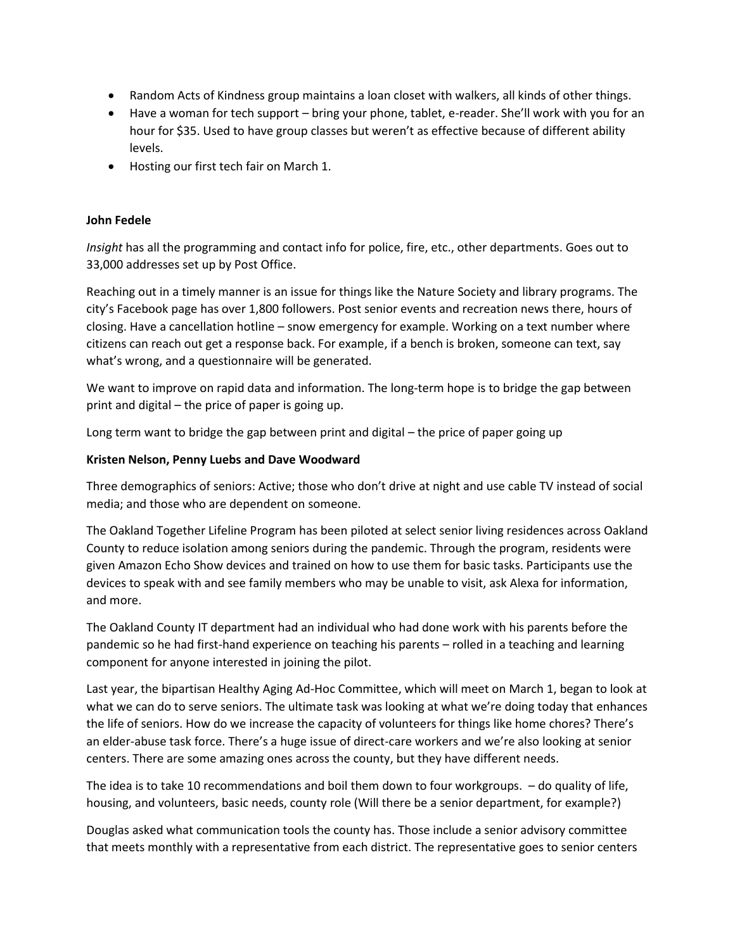- Random Acts of Kindness group maintains a loan closet with walkers, all kinds of other things.
- Have a woman for tech support bring your phone, tablet, e-reader. She'll work with you for an hour for \$35. Used to have group classes but weren't as effective because of different ability levels.
- Hosting our first tech fair on March 1.

#### **John Fedele**

*Insight* has all the programming and contact info for police, fire, etc., other departments. Goes out to 33,000 addresses set up by Post Office.

Reaching out in a timely manner is an issue for things like the Nature Society and library programs. The city's Facebook page has over 1,800 followers. Post senior events and recreation news there, hours of closing. Have a cancellation hotline – snow emergency for example. Working on a text number where citizens can reach out get a response back. For example, if a bench is broken, someone can text, say what's wrong, and a questionnaire will be generated.

We want to improve on rapid data and information. The long-term hope is to bridge the gap between print and digital – the price of paper is going up.

Long term want to bridge the gap between print and digital – the price of paper going up

#### **Kristen Nelson, Penny Luebs and Dave Woodward**

Three demographics of seniors: Active; those who don't drive at night and use cable TV instead of social media; and those who are dependent on someone.

The Oakland Together Lifeline Program has been piloted at select senior living residences across Oakland County to reduce isolation among seniors during the pandemic. Through the program, residents were given Amazon Echo Show devices and trained on how to use them for basic tasks. Participants use the devices to speak with and see family members who may be unable to visit, ask Alexa for information, and more.

The Oakland County IT department had an individual who had done work with his parents before the pandemic so he had first-hand experience on teaching his parents – rolled in a teaching and learning component for anyone interested in joining the pilot.

Last year, the bipartisan Healthy Aging Ad-Hoc Committee, which will meet on March 1, began to look at what we can do to serve seniors. The ultimate task was looking at what we're doing today that enhances the life of seniors. How do we increase the capacity of volunteers for things like home chores? There's an elder-abuse task force. There's a huge issue of direct-care workers and we're also looking at senior centers. There are some amazing ones across the county, but they have different needs.

The idea is to take 10 recommendations and boil them down to four workgroups. – do quality of life, housing, and volunteers, basic needs, county role (Will there be a senior department, for example?)

Douglas asked what communication tools the county has. Those include a senior advisory committee that meets monthly with a representative from each district. The representative goes to senior centers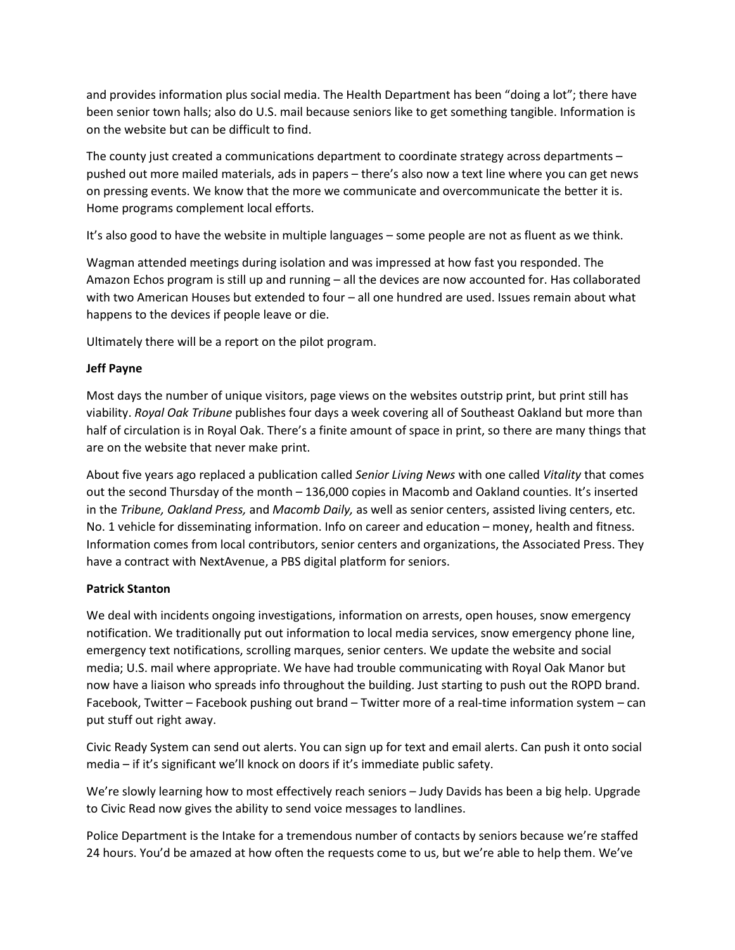and provides information plus social media. The Health Department has been "doing a lot"; there have been senior town halls; also do U.S. mail because seniors like to get something tangible. Information is on the website but can be difficult to find.

The county just created a communications department to coordinate strategy across departments – pushed out more mailed materials, ads in papers – there's also now a text line where you can get news on pressing events. We know that the more we communicate and overcommunicate the better it is. Home programs complement local efforts.

It's also good to have the website in multiple languages – some people are not as fluent as we think.

Wagman attended meetings during isolation and was impressed at how fast you responded. The Amazon Echos program is still up and running – all the devices are now accounted for. Has collaborated with two American Houses but extended to four – all one hundred are used. Issues remain about what happens to the devices if people leave or die.

Ultimately there will be a report on the pilot program.

# **Jeff Payne**

Most days the number of unique visitors, page views on the websites outstrip print, but print still has viability. *Royal Oak Tribune* publishes four days a week covering all of Southeast Oakland but more than half of circulation is in Royal Oak. There's a finite amount of space in print, so there are many things that are on the website that never make print.

About five years ago replaced a publication called *Senior Living News* with one called *Vitality* that comes out the second Thursday of the month – 136,000 copies in Macomb and Oakland counties. It's inserted in the *Tribune, Oakland Press,* and *Macomb Daily,* as well as senior centers, assisted living centers, etc. No. 1 vehicle for disseminating information. Info on career and education – money, health and fitness. Information comes from local contributors, senior centers and organizations, the Associated Press. They have a contract with NextAvenue, a PBS digital platform for seniors.

### **Patrick Stanton**

We deal with incidents ongoing investigations, information on arrests, open houses, snow emergency notification. We traditionally put out information to local media services, snow emergency phone line, emergency text notifications, scrolling marques, senior centers. We update the website and social media; U.S. mail where appropriate. We have had trouble communicating with Royal Oak Manor but now have a liaison who spreads info throughout the building. Just starting to push out the ROPD brand. Facebook, Twitter – Facebook pushing out brand – Twitter more of a real-time information system – can put stuff out right away.

Civic Ready System can send out alerts. You can sign up for text and email alerts. Can push it onto social media – if it's significant we'll knock on doors if it's immediate public safety.

We're slowly learning how to most effectively reach seniors – Judy Davids has been a big help. Upgrade to Civic Read now gives the ability to send voice messages to landlines.

Police Department is the Intake for a tremendous number of contacts by seniors because we're staffed 24 hours. You'd be amazed at how often the requests come to us, but we're able to help them. We've